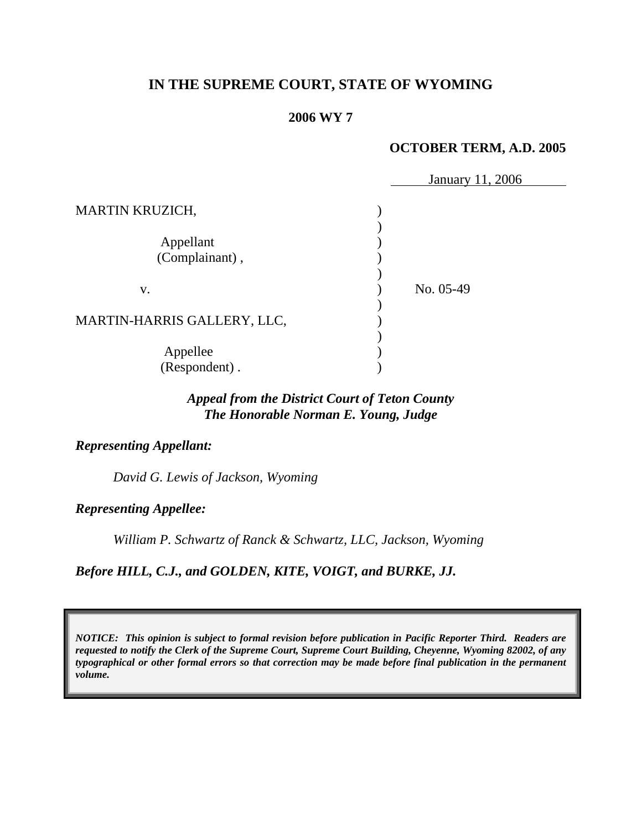# **IN THE SUPREME COURT, STATE OF WYOMING**

#### **2006 WY 7**

### **OCTOBER TERM, A.D. 2005**

|                             | January 11, 2006 |
|-----------------------------|------------------|
| <b>MARTIN KRUZICH,</b>      |                  |
|                             |                  |
| Appellant                   |                  |
| (Complainant),              |                  |
|                             |                  |
| V.                          | No. 05-49        |
|                             |                  |
| MARTIN-HARRIS GALLERY, LLC, |                  |
|                             |                  |
| Appellee                    |                  |
| (Respondent).               |                  |

# *Appeal from the District Court of Teton County The Honorable Norman E. Young, Judge*

#### *Representing Appellant:*

*David G. Lewis of Jackson, Wyoming* 

*Representing Appellee:*

*William P. Schwartz of Ranck & Schwartz, LLC, Jackson, Wyoming* 

*Before HILL, C.J., and GOLDEN, KITE, VOIGT, and BURKE, JJ.* 

*NOTICE: This opinion is subject to formal revision before publication in Pacific Reporter Third. Readers are requested to notify the Clerk of the Supreme Court, Supreme Court Building, Cheyenne, Wyoming 82002, of any typographical or other formal errors so that correction may be made before final publication in the permanent volume.*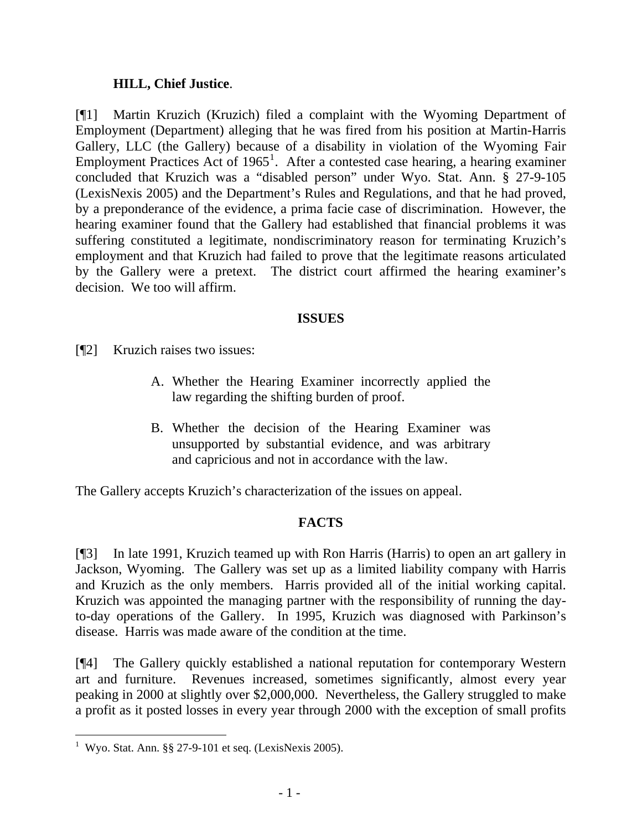## **HILL, Chief Justice**.

[¶1] Martin Kruzich (Kruzich) filed a complaint with the Wyoming Department of Employment (Department) alleging that he was fired from his position at Martin-Harris Gallery, LLC (the Gallery) because of a disability in violation of the Wyoming Fair Employment Practices Act of  $1965<sup>1</sup>$  $1965<sup>1</sup>$ . After a contested case hearing, a hearing examiner concluded that Kruzich was a "disabled person" under Wyo. Stat. Ann. § 27-9-105 (LexisNexis 2005) and the Department's Rules and Regulations, and that he had proved, by a preponderance of the evidence, a prima facie case of discrimination. However, the hearing examiner found that the Gallery had established that financial problems it was suffering constituted a legitimate, nondiscriminatory reason for terminating Kruzich's employment and that Kruzich had failed to prove that the legitimate reasons articulated by the Gallery were a pretext. The district court affirmed the hearing examiner's decision. We too will affirm.

## **ISSUES**

- [¶2] Kruzich raises two issues:
	- A. Whether the Hearing Examiner incorrectly applied the law regarding the shifting burden of proof.
	- B. Whether the decision of the Hearing Examiner was unsupported by substantial evidence, and was arbitrary and capricious and not in accordance with the law.

The Gallery accepts Kruzich's characterization of the issues on appeal.

# **FACTS**

[¶3] In late 1991, Kruzich teamed up with Ron Harris (Harris) to open an art gallery in Jackson, Wyoming. The Gallery was set up as a limited liability company with Harris and Kruzich as the only members. Harris provided all of the initial working capital. Kruzich was appointed the managing partner with the responsibility of running the dayto-day operations of the Gallery. In 1995, Kruzich was diagnosed with Parkinson's disease. Harris was made aware of the condition at the time.

[¶4] The Gallery quickly established a national reputation for contemporary Western art and furniture. Revenues increased, sometimes significantly, almost every year peaking in 2000 at slightly over \$2,000,000. Nevertheless, the Gallery struggled to make a profit as it posted losses in every year through 2000 with the exception of small profits

 $\overline{a}$ 

<span id="page-2-0"></span><sup>&</sup>lt;sup>1</sup> Wyo. Stat. Ann. §§ 27-9-101 et seq. (LexisNexis 2005).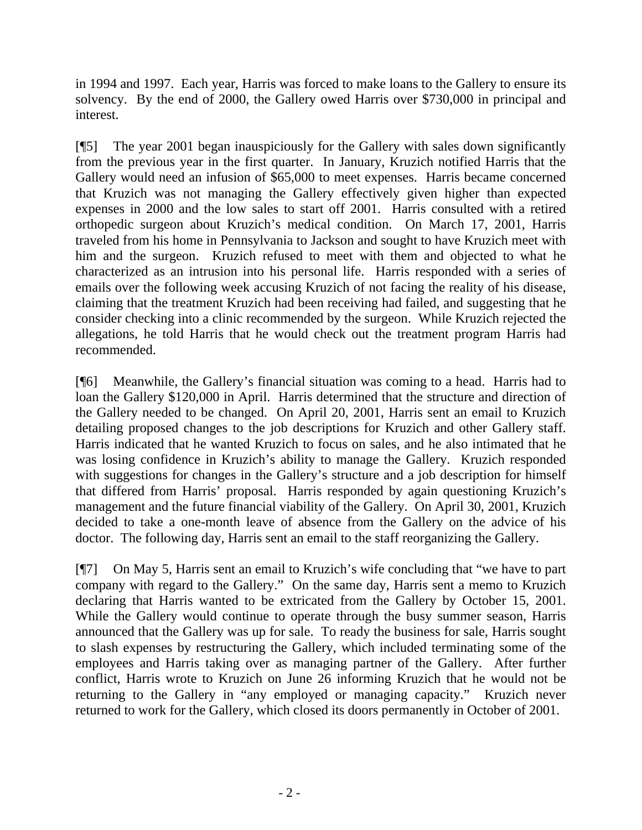in 1994 and 1997. Each year, Harris was forced to make loans to the Gallery to ensure its solvency. By the end of 2000, the Gallery owed Harris over \$730,000 in principal and interest.

[¶5] The year 2001 began inauspiciously for the Gallery with sales down significantly from the previous year in the first quarter. In January, Kruzich notified Harris that the Gallery would need an infusion of \$65,000 to meet expenses. Harris became concerned that Kruzich was not managing the Gallery effectively given higher than expected expenses in 2000 and the low sales to start off 2001. Harris consulted with a retired orthopedic surgeon about Kruzich's medical condition. On March 17, 2001, Harris traveled from his home in Pennsylvania to Jackson and sought to have Kruzich meet with him and the surgeon. Kruzich refused to meet with them and objected to what he characterized as an intrusion into his personal life. Harris responded with a series of emails over the following week accusing Kruzich of not facing the reality of his disease, claiming that the treatment Kruzich had been receiving had failed, and suggesting that he consider checking into a clinic recommended by the surgeon. While Kruzich rejected the allegations, he told Harris that he would check out the treatment program Harris had recommended.

[¶6] Meanwhile, the Gallery's financial situation was coming to a head. Harris had to loan the Gallery \$120,000 in April. Harris determined that the structure and direction of the Gallery needed to be changed. On April 20, 2001, Harris sent an email to Kruzich detailing proposed changes to the job descriptions for Kruzich and other Gallery staff. Harris indicated that he wanted Kruzich to focus on sales, and he also intimated that he was losing confidence in Kruzich's ability to manage the Gallery. Kruzich responded with suggestions for changes in the Gallery's structure and a job description for himself that differed from Harris' proposal. Harris responded by again questioning Kruzich's management and the future financial viability of the Gallery. On April 30, 2001, Kruzich decided to take a one-month leave of absence from the Gallery on the advice of his doctor. The following day, Harris sent an email to the staff reorganizing the Gallery.

[¶7] On May 5, Harris sent an email to Kruzich's wife concluding that "we have to part company with regard to the Gallery." On the same day, Harris sent a memo to Kruzich declaring that Harris wanted to be extricated from the Gallery by October 15, 2001. While the Gallery would continue to operate through the busy summer season, Harris announced that the Gallery was up for sale. To ready the business for sale, Harris sought to slash expenses by restructuring the Gallery, which included terminating some of the employees and Harris taking over as managing partner of the Gallery. After further conflict, Harris wrote to Kruzich on June 26 informing Kruzich that he would not be returning to the Gallery in "any employed or managing capacity." Kruzich never returned to work for the Gallery, which closed its doors permanently in October of 2001.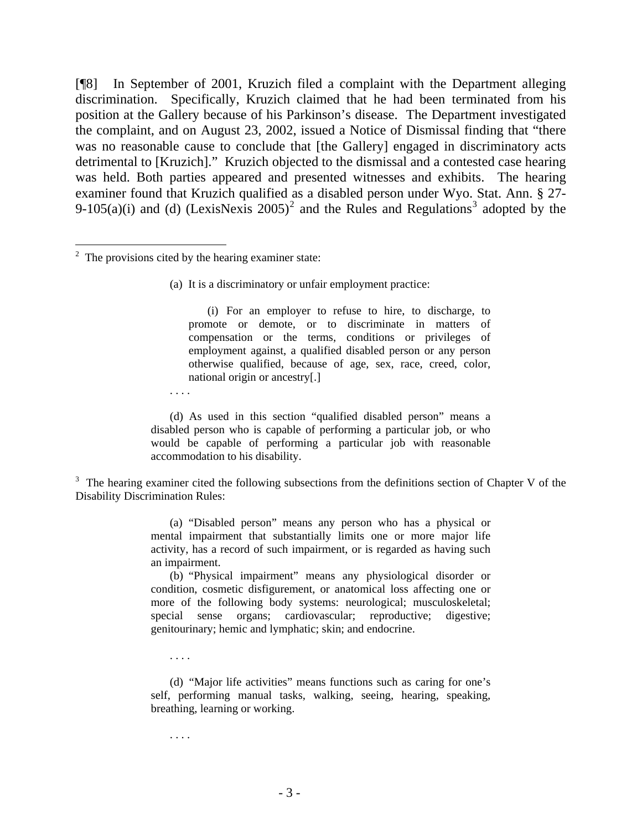[¶8] In September of 2001, Kruzich filed a complaint with the Department alleging discrimination. Specifically, Kruzich claimed that he had been terminated from his position at the Gallery because of his Parkinson's disease. The Department investigated the complaint, and on August 23, 2002, issued a Notice of Dismissal finding that "there was no reasonable cause to conclude that [the Gallery] engaged in discriminatory acts detrimental to [Kruzich]." Kruzich objected to the dismissal and a contested case hearing was held. Both parties appeared and presented witnesses and exhibits. The hearing examiner found that Kruzich qualified as a disabled person under Wyo. Stat. Ann. § 27- 9-105(a)(i) and (d) (LexisNexis [2](#page-4-0)005)<sup>2</sup> and the Rules and Regulations<sup>[3](#page-4-1)</sup> adopted by the

 $\overline{a}$ 

(i) For an employer to refuse to hire, to discharge, to promote or demote, or to discriminate in matters of compensation or the terms, conditions or privileges of employment against, a qualified disabled person or any person otherwise qualified, because of age, sex, race, creed, color, national origin or ancestry[.]

. . . .

(d) As used in this section "qualified disabled person" means a disabled person who is capable of performing a particular job, or who would be capable of performing a particular job with reasonable accommodation to his disability.

<span id="page-4-1"></span> $3$  The hearing examiner cited the following subsections from the definitions section of Chapter V of the Disability Discrimination Rules:

> (a) "Disabled person" means any person who has a physical or mental impairment that substantially limits one or more major life activity, has a record of such impairment, or is regarded as having such an impairment.

> (b) "Physical impairment" means any physiological disorder or condition, cosmetic disfigurement, or anatomical loss affecting one or more of the following body systems: neurological; musculoskeletal; special sense organs; cardiovascular; reproductive; digestive; genitourinary; hemic and lymphatic; skin; and endocrine.

. . . .

(d) "Major life activities" means functions such as caring for one's self, performing manual tasks, walking, seeing, hearing, speaking, breathing, learning or working.

. . . .

<span id="page-4-0"></span> $2^2$  The provisions cited by the hearing examiner state:

<sup>(</sup>a) It is a discriminatory or unfair employment practice: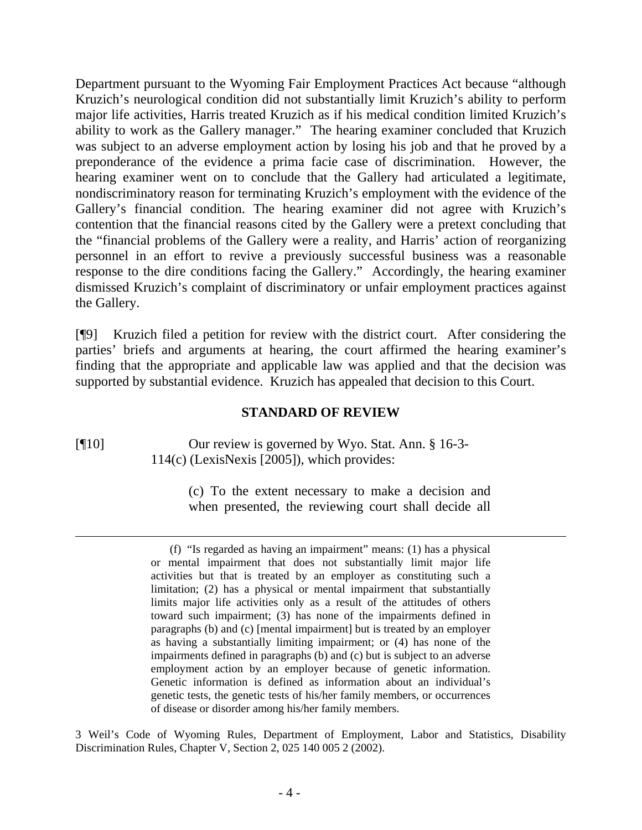Department pursuant to the Wyoming Fair Employment Practices Act because "although Kruzich's neurological condition did not substantially limit Kruzich's ability to perform major life activities, Harris treated Kruzich as if his medical condition limited Kruzich's ability to work as the Gallery manager." The hearing examiner concluded that Kruzich was subject to an adverse employment action by losing his job and that he proved by a preponderance of the evidence a prima facie case of discrimination. However, the hearing examiner went on to conclude that the Gallery had articulated a legitimate, nondiscriminatory reason for terminating Kruzich's employment with the evidence of the Gallery's financial condition. The hearing examiner did not agree with Kruzich's contention that the financial reasons cited by the Gallery were a pretext concluding that the "financial problems of the Gallery were a reality, and Harris' action of reorganizing personnel in an effort to revive a previously successful business was a reasonable response to the dire conditions facing the Gallery." Accordingly, the hearing examiner dismissed Kruzich's complaint of discriminatory or unfair employment practices against the Gallery.

[¶9] Kruzich filed a petition for review with the district court. After considering the parties' briefs and arguments at hearing, the court affirmed the hearing examiner's finding that the appropriate and applicable law was applied and that the decision was supported by substantial evidence. Kruzich has appealed that decision to this Court.

### **STANDARD OF REVIEW**

 $\overline{a}$ 

[¶10] Our review is governed by Wyo. Stat. Ann. § 16-3- 114(c) (LexisNexis [2005]), which provides:

> (c) To the extent necessary to make a decision and when presented, the reviewing court shall decide all

3 Weil's Code of Wyoming Rules, Department of Employment, Labor and Statistics, Disability Discrimination Rules, Chapter V, Section 2, 025 140 005 2 (2002).

<sup>(</sup>f) "Is regarded as having an impairment" means: (1) has a physical or mental impairment that does not substantially limit major life activities but that is treated by an employer as constituting such a limitation; (2) has a physical or mental impairment that substantially limits major life activities only as a result of the attitudes of others toward such impairment; (3) has none of the impairments defined in paragraphs (b) and (c) [mental impairment] but is treated by an employer as having a substantially limiting impairment; or (4) has none of the impairments defined in paragraphs (b) and (c) but is subject to an adverse employment action by an employer because of genetic information. Genetic information is defined as information about an individual's genetic tests, the genetic tests of his/her family members, or occurrences of disease or disorder among his/her family members.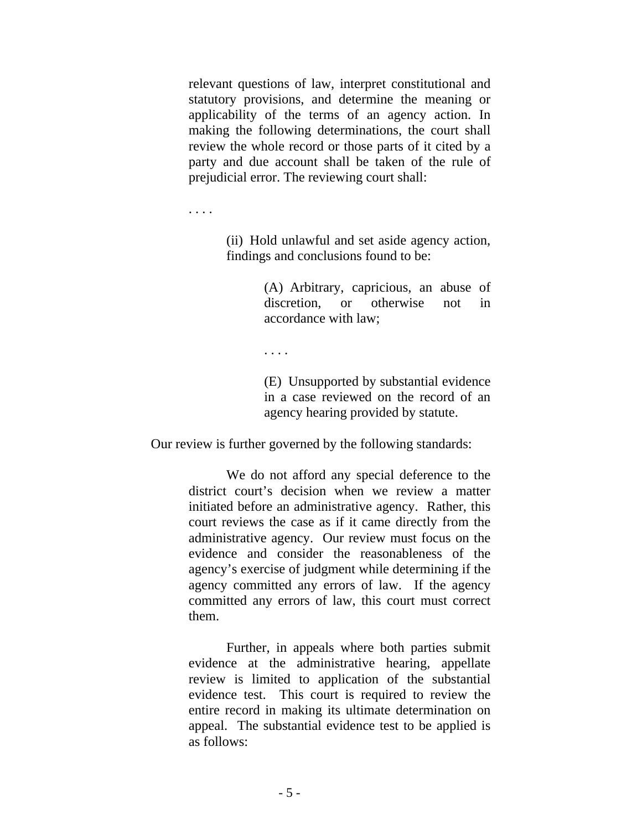relevant questions of law, interpret constitutional and statutory provisions, and determine the meaning or applicability of the terms of an agency action. In making the following determinations, the court shall review the whole record or those parts of it cited by a party and due account shall be taken of the rule of prejudicial error. The reviewing court shall:

. . . .

(ii) Hold unlawful and set aside agency action, findings and conclusions found to be:

> (A) Arbitrary, capricious, an abuse of discretion, or otherwise not in accordance with law;

. . . .

(E) Unsupported by substantial evidence in a case reviewed on the record of an agency hearing provided by statute.

Our review is further governed by the following standards:

We do not afford any special deference to the district court's decision when we review a matter initiated before an administrative agency. Rather, this court reviews the case as if it came directly from the administrative agency. Our review must focus on the evidence and consider the reasonableness of the agency's exercise of judgment while determining if the agency committed any errors of law. If the agency committed any errors of law, this court must correct them.

Further, in appeals where both parties submit evidence at the administrative hearing, appellate review is limited to application of the substantial evidence test. This court is required to review the entire record in making its ultimate determination on appeal. The substantial evidence test to be applied is as follows: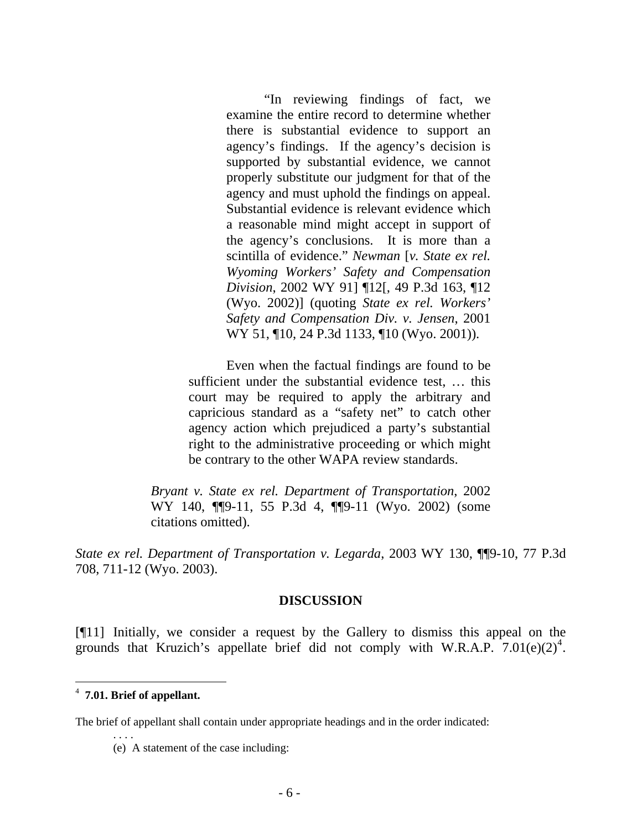"In reviewing findings of fact, we examine the entire record to determine whether there is substantial evidence to support an agency's findings. If the agency's decision is supported by substantial evidence, we cannot properly substitute our judgment for that of the agency and must uphold the findings on appeal. Substantial evidence is relevant evidence which a reasonable mind might accept in support of the agency's conclusions. It is more than a scintilla of evidence." *Newman* [*v. State ex rel. Wyoming Workers' Safety and Compensation Division*, 2002 WY 91] ¶12[, 49 P.3d 163, ¶12 (Wyo. 2002)] (quoting *State ex rel. Workers' Safety and Compensation Div. v. Jensen*, 2001 WY 51, 10, 24 P.3d 1133, 10 (Wyo. 2001)).

Even when the factual findings are found to be sufficient under the substantial evidence test, … this court may be required to apply the arbitrary and capricious standard as a "safety net" to catch other agency action which prejudiced a party's substantial right to the administrative proceeding or which might be contrary to the other WAPA review standards.

*Bryant v. State ex rel. Department of Transportation*, 2002 WY 140, ¶¶9-11, 55 P.3d 4, ¶¶9-11 (Wyo. 2002) (some citations omitted).

*State ex rel. Department of Transportation v. Legarda*, 2003 WY 130, ¶¶9-10, 77 P.3d 708, 711-12 (Wyo. 2003).

#### **DISCUSSION**

[¶11] Initially, we consider a request by the Gallery to dismiss this appeal on the grounds that Kruzich's appellate brief did not comply with W.R.A.P.  $7.01(e)(2)^4$  $7.01(e)(2)^4$ .

 $\overline{a}$ 

. . . .

The brief of appellant shall contain under appropriate headings and in the order indicated:

<span id="page-7-0"></span><sup>4</sup> **7.01. Brief of appellant.**

<sup>(</sup>e) A statement of the case including: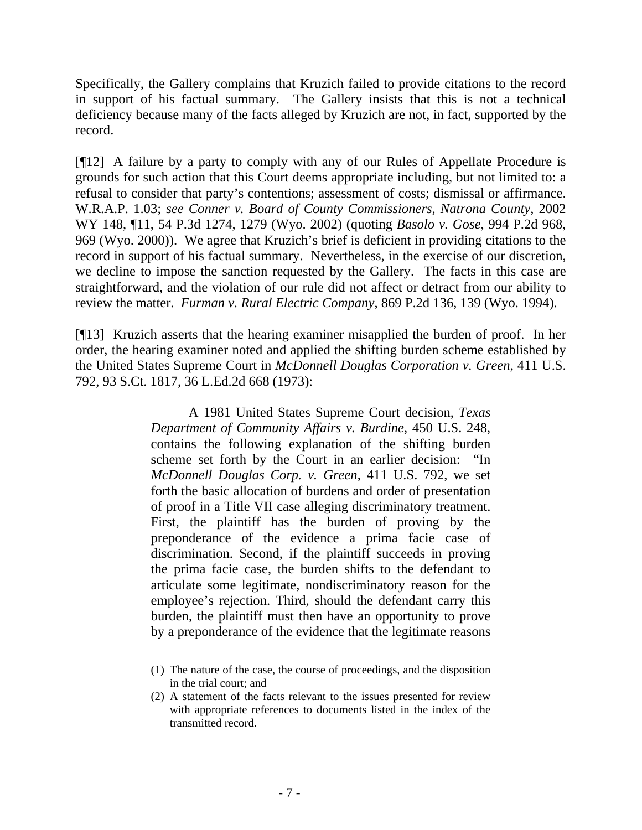Specifically, the Gallery complains that Kruzich failed to provide citations to the record in support of his factual summary. The Gallery insists that this is not a technical deficiency because many of the facts alleged by Kruzich are not, in fact, supported by the record.

[¶12] A failure by a party to comply with any of our Rules of Appellate Procedure is grounds for such action that this Court deems appropriate including, but not limited to: a refusal to consider that party's contentions; assessment of costs; dismissal or affirmance. W.R.A.P. 1.03; *see Conner v. Board of County Commissioners, Natrona County*, 2002 WY 148, ¶11, 54 P.3d 1274, 1279 (Wyo. 2002) (quoting *Basolo v. Gose*, 994 P.2d 968, 969 (Wyo. 2000)). We agree that Kruzich's brief is deficient in providing citations to the record in support of his factual summary. Nevertheless, in the exercise of our discretion, we decline to impose the sanction requested by the Gallery. The facts in this case are straightforward, and the violation of our rule did not affect or detract from our ability to review the matter. *Furman v. Rural Electric Company*, 869 P.2d 136, 139 (Wyo. 1994).

[¶13] Kruzich asserts that the hearing examiner misapplied the burden of proof. In her order, the hearing examiner noted and applied the shifting burden scheme established by the United States Supreme Court in *McDonnell Douglas Corporation v. Green*, 411 U.S. 792, 93 S.Ct. 1817, 36 L.Ed.2d 668 (1973):

> A 1981 United States Supreme Court decision, *Texas Department of Community Affairs v. Burdine,* 450 U.S. 248, contains the following explanation of the shifting burden scheme set forth by the Court in an earlier decision: "In *McDonnell Douglas Corp. v. Green*, 411 U.S. 792, we set forth the basic allocation of burdens and order of presentation of proof in a Title VII case alleging discriminatory treatment. First, the plaintiff has the burden of proving by the preponderance of the evidence a prima facie case of discrimination. Second, if the plaintiff succeeds in proving the prima facie case, the burden shifts to the defendant to articulate some legitimate, nondiscriminatory reason for the employee's rejection. Third, should the defendant carry this burden, the plaintiff must then have an opportunity to prove by a preponderance of the evidence that the legitimate reasons

l

<sup>(1)</sup> The nature of the case, the course of proceedings, and the disposition in the trial court; and

<sup>(2)</sup> A statement of the facts relevant to the issues presented for review with appropriate references to documents listed in the index of the transmitted record.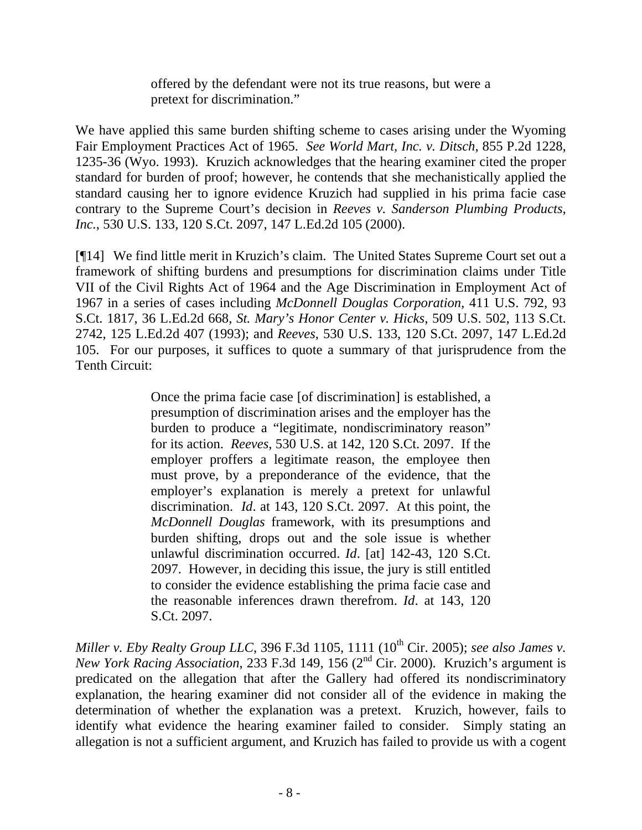offered by the defendant were not its true reasons, but were a pretext for discrimination."

We have applied this same burden shifting scheme to cases arising under the Wyoming Fair Employment Practices Act of 1965. *See World Mart, Inc. v. Ditsch*, 855 P.2d 1228, 1235-36 (Wyo. 1993). Kruzich acknowledges that the hearing examiner cited the proper standard for burden of proof; however, he contends that she mechanistically applied the standard causing her to ignore evidence Kruzich had supplied in his prima facie case contrary to the Supreme Court's decision in *Reeves v. Sanderson Plumbing Products, Inc.*, 530 U.S. 133, 120 S.Ct. 2097, 147 L.Ed.2d 105 (2000).

[¶14] We find little merit in Kruzich's claim. The United States Supreme Court set out a framework of shifting burdens and presumptions for discrimination claims under Title VII of the Civil Rights Act of 1964 and the Age Discrimination in Employment Act of 1967 in a series of cases including *McDonnell Douglas Corporation,* 411 U.S. 792, 93 S.Ct. 1817, 36 L.Ed.2d 668, *St. Mary's Honor Center v. Hicks*, 509 U.S. 502, 113 S.Ct. 2742, 125 L.Ed.2d 407 (1993); and *Reeves*, 530 U.S. 133, 120 S.Ct. 2097, 147 L.Ed.2d 105. For our purposes, it suffices to quote a summary of that jurisprudence from the Tenth Circuit:

> Once the prima facie case [of discrimination] is established, a presumption of discrimination arises and the employer has the burden to produce a "legitimate, nondiscriminatory reason" for its action. *Reeves*, 530 U.S. at 142, 120 S.Ct. 2097. If the employer proffers a legitimate reason, the employee then must prove, by a preponderance of the evidence, that the employer's explanation is merely a pretext for unlawful discrimination. *Id*. at 143, 120 S.Ct. 2097. At this point, the *McDonnell Douglas* framework, with its presumptions and burden shifting, drops out and the sole issue is whether unlawful discrimination occurred. *Id*. [at] 142-43, 120 S.Ct. 2097. However, in deciding this issue, the jury is still entitled to consider the evidence establishing the prima facie case and the reasonable inferences drawn therefrom. *Id*. at 143, 120 S.Ct. 2097.

*Miller v. Eby Realty Group LLC*, 396 F.3d 1105, 1111 (10<sup>th</sup> Cir. 2005); *see also James v. New York Racing Association*, 233 F.3d 149, 156 (2nd Cir. 2000). Kruzich's argument is predicated on the allegation that after the Gallery had offered its nondiscriminatory explanation, the hearing examiner did not consider all of the evidence in making the determination of whether the explanation was a pretext. Kruzich, however, fails to identify what evidence the hearing examiner failed to consider. Simply stating an allegation is not a sufficient argument, and Kruzich has failed to provide us with a cogent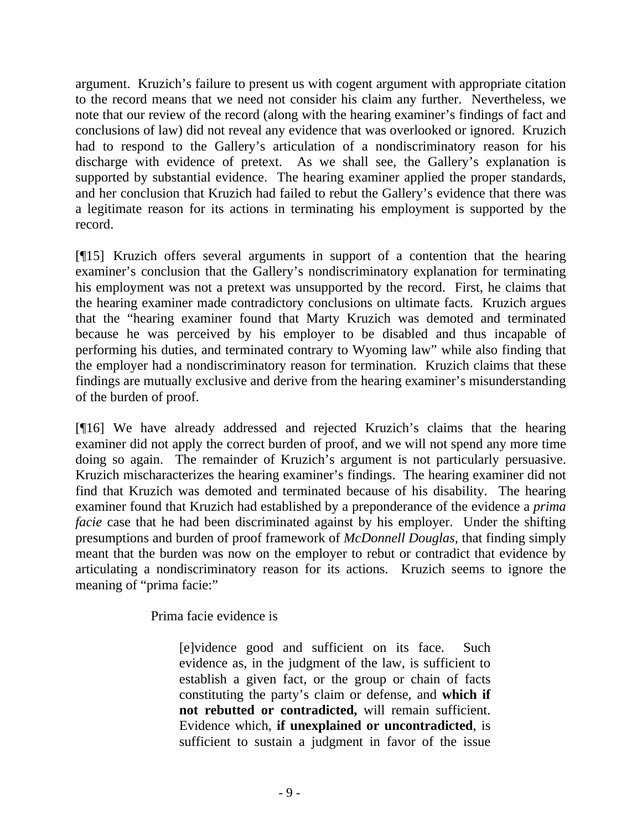argument. Kruzich's failure to present us with cogent argument with appropriate citation to the record means that we need not consider his claim any further. Nevertheless, we note that our review of the record (along with the hearing examiner's findings of fact and conclusions of law) did not reveal any evidence that was overlooked or ignored. Kruzich had to respond to the Gallery's articulation of a nondiscriminatory reason for his discharge with evidence of pretext. As we shall see, the Gallery's explanation is supported by substantial evidence. The hearing examiner applied the proper standards, and her conclusion that Kruzich had failed to rebut the Gallery's evidence that there was a legitimate reason for its actions in terminating his employment is supported by the record.

[¶15] Kruzich offers several arguments in support of a contention that the hearing examiner's conclusion that the Gallery's nondiscriminatory explanation for terminating his employment was not a pretext was unsupported by the record. First, he claims that the hearing examiner made contradictory conclusions on ultimate facts. Kruzich argues that the "hearing examiner found that Marty Kruzich was demoted and terminated because he was perceived by his employer to be disabled and thus incapable of performing his duties, and terminated contrary to Wyoming law" while also finding that the employer had a nondiscriminatory reason for termination. Kruzich claims that these findings are mutually exclusive and derive from the hearing examiner's misunderstanding of the burden of proof.

[¶16] We have already addressed and rejected Kruzich's claims that the hearing examiner did not apply the correct burden of proof, and we will not spend any more time doing so again. The remainder of Kruzich's argument is not particularly persuasive. Kruzich mischaracterizes the hearing examiner's findings. The hearing examiner did not find that Kruzich was demoted and terminated because of his disability. The hearing examiner found that Kruzich had established by a preponderance of the evidence a *prima facie* case that he had been discriminated against by his employer. Under the shifting presumptions and burden of proof framework of *McDonnell Douglas,* that finding simply meant that the burden was now on the employer to rebut or contradict that evidence by articulating a nondiscriminatory reason for its actions. Kruzich seems to ignore the meaning of "prima facie:"

Prima facie evidence is

[e]vidence good and sufficient on its face. Such evidence as, in the judgment of the law, is sufficient to establish a given fact, or the group or chain of facts constituting the party's claim or defense, and **which if not rebutted or contradicted,** will remain sufficient. Evidence which, **if unexplained or uncontradicted**, is sufficient to sustain a judgment in favor of the issue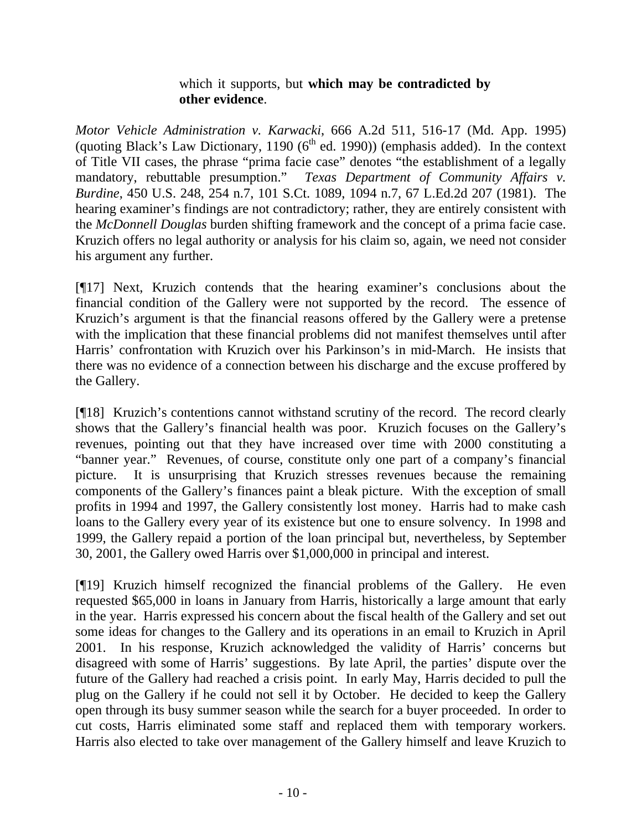# which it supports, but **which may be contradicted by other evidence**.

*Motor Vehicle Administration v. Karwacki*, 666 A.2d 511, 516-17 (Md. App. 1995) (quoting Black's Law Dictionary, 1190 ( $6<sup>th</sup>$  ed. 1990)) (emphasis added). In the context of Title VII cases, the phrase "prima facie case" denotes "the establishment of a legally mandatory, rebuttable presumption." *Texas Department of Community Affairs v. Burdine*, 450 U.S. 248, 254 n.7, 101 S.Ct. 1089, 1094 n.7, 67 L.Ed.2d 207 (1981). The hearing examiner's findings are not contradictory; rather, they are entirely consistent with the *McDonnell Douglas* burden shifting framework and the concept of a prima facie case. Kruzich offers no legal authority or analysis for his claim so, again, we need not consider his argument any further.

[¶17] Next, Kruzich contends that the hearing examiner's conclusions about the financial condition of the Gallery were not supported by the record. The essence of Kruzich's argument is that the financial reasons offered by the Gallery were a pretense with the implication that these financial problems did not manifest themselves until after Harris' confrontation with Kruzich over his Parkinson's in mid-March. He insists that there was no evidence of a connection between his discharge and the excuse proffered by the Gallery.

[¶18] Kruzich's contentions cannot withstand scrutiny of the record. The record clearly shows that the Gallery's financial health was poor. Kruzich focuses on the Gallery's revenues, pointing out that they have increased over time with 2000 constituting a "banner year." Revenues, of course, constitute only one part of a company's financial picture. It is unsurprising that Kruzich stresses revenues because the remaining components of the Gallery's finances paint a bleak picture. With the exception of small profits in 1994 and 1997, the Gallery consistently lost money. Harris had to make cash loans to the Gallery every year of its existence but one to ensure solvency. In 1998 and 1999, the Gallery repaid a portion of the loan principal but, nevertheless, by September 30, 2001, the Gallery owed Harris over \$1,000,000 in principal and interest.

[¶19] Kruzich himself recognized the financial problems of the Gallery. He even requested \$65,000 in loans in January from Harris, historically a large amount that early in the year. Harris expressed his concern about the fiscal health of the Gallery and set out some ideas for changes to the Gallery and its operations in an email to Kruzich in April 2001. In his response, Kruzich acknowledged the validity of Harris' concerns but disagreed with some of Harris' suggestions. By late April, the parties' dispute over the future of the Gallery had reached a crisis point. In early May, Harris decided to pull the plug on the Gallery if he could not sell it by October. He decided to keep the Gallery open through its busy summer season while the search for a buyer proceeded. In order to cut costs, Harris eliminated some staff and replaced them with temporary workers. Harris also elected to take over management of the Gallery himself and leave Kruzich to